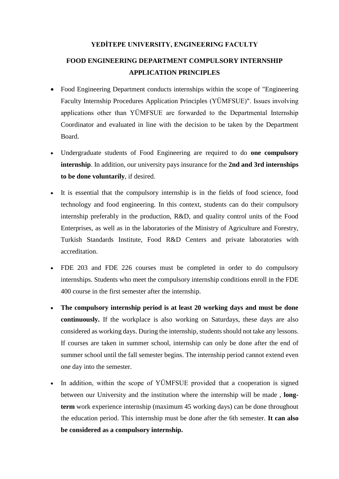#### **YEDİTEPE UNIVERSITY, ENGINEERING FACULTY**

# **FOOD ENGINEERING DEPARTMENT COMPULSORY INTERNSHIP APPLICATION PRINCIPLES**

- Food Engineering Department conducts internships within the scope of "Engineering" Faculty Internship Procedures Application Principles (YÜMFSUE)". Issues involving applications other than YÜMFSUE are forwarded to the Departmental Internship Coordinator and evaluated in line with the decision to be taken by the Department Board.
- Undergraduate students of Food Engineering are required to do **one compulsory internship**. In addition, our university pays insurance for the **2nd and 3rd internships to be done voluntarily**, if desired.
- It is essential that the compulsory internship is in the fields of food science, food technology and food engineering. In this context, students can do their compulsory internship preferably in the production, R&D, and quality control units of the Food Enterprises, as well as in the laboratories of the Ministry of Agriculture and Forestry, Turkish Standards Institute, Food R&D Centers and private laboratories with accreditation.
- FDE 203 and FDE 226 courses must be completed in order to do compulsory internships. Students who meet the compulsory internship conditions enroll in the FDE 400 course in the first semester after the internship.
- **The compulsory internship period is at least 20 working days and must be done continuously.** If the workplace is also working on Saturdays, these days are also considered as working days. During the internship, students should not take any lessons. If courses are taken in summer school, internship can only be done after the end of summer school until the fall semester begins. The internship period cannot extend even one day into the semester.
- In addition, within the scope of YÜMFSUE provided that a cooperation is signed between our University and the institution where the internship will be made , **longterm** work experience internship (maximum 45 working days) can be done throughout the education period. This internship must be done after the 6th semester. **It can also be considered as a compulsory internship.**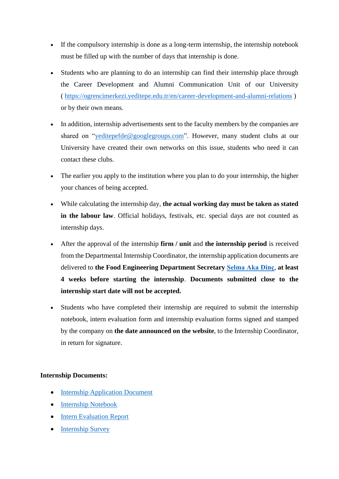- If the compulsory internship is done as a long-term internship, the internship notebook must be filled up with the number of days that internship is done.
- Students who are planning to do an internship can find their internship place through the Career Development and Alumni Communication Unit of our University ( <https://ogrencimerkezi.yeditepe.edu.tr/en/career-development-and-alumni-relations> ) or by their own means.
- In addition, internship advertisements sent to the faculty members by the companies are shared on ["yeditepefde@googlegroups.com"](http://yeditepefde@googlegroups.com). However, many student clubs at our University have created their own networks on this issue, students who need it can contact these clubs.
- The earlier you apply to the institution where you plan to do your internship, the higher your chances of being accepted.
- While calculating the internship day, **the actual working day must be taken as stated in the labour law**. Official holidays, festivals, etc. special days are not counted as internship days.
- After the approval of the internship **firm / unit** and **the internship period** is received from the Departmental Internship Coordinator, the internship application documents are delivered to **the Food Engineering Department Secretary [Selma Aka Dinç](https://eng.yeditepe.edu.tr/en/food-engineering-department/administrative-staff)**, **at least 4 weeks before starting the internship**. **Documents submitted close to the internship start date will not be accepted.**
- Students who have completed their internship are required to submit the internship notebook, intern evaluation form and internship evaluation forms signed and stamped by the company on **the date announced on the website**, to the Internship Coordinator, in return for signature.

## **Internship Documents:**

- [Internship Application Document](https://drive.google.com/file/d/1FKuwWBvNUFgSi1BoBZi0luP55vETG_j-/view?usp=sharing)
- [Internship Notebook](https://docs.google.com/document/d/1KYqbpr4hZTdCtKlc5eYpBvnE2np8tAbg/edit?usp=sharing&ouid=113881348101352897278&rtpof=true&sd=true)
- [Intern Evaluation Report](https://drive.google.com/file/d/1JlK8q8DycSwT0JQOivvT7up9eDL-R8ro/view?usp=sharing)
- [Internship Survey](https://drive.google.com/file/d/1WXB_wUPSaaKb23IOH9a01g7vTuNS6CZz/view?usp=sharing)